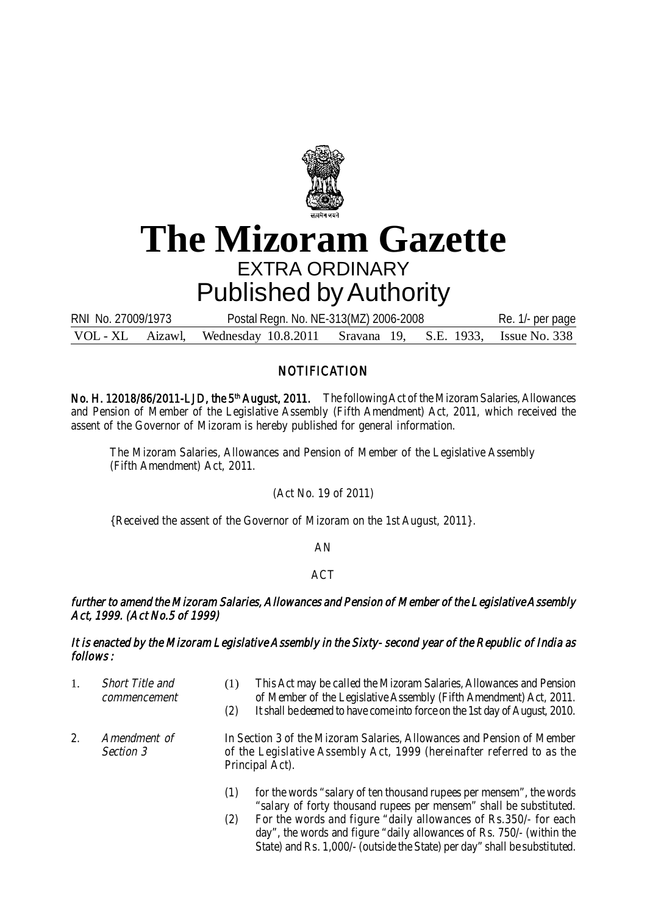

# **The Mizoram Gazette** EXTRA ORDINARY Published by Authority

VOL - XL Aizawl, Wednesday 10.8.2011 Sravana 19, S.E. 1933, Issue No. 338 RNI No. 27009/1973 Postal Regn. No. NE-313(MZ) 2006-2008 Re. 1/- per page

## **NOTIFICATION**

No. H. 12018/86/2011-LJD, the 5<sup>th</sup> August, 2011. The following Act of the Mizoram Salaries, Allowances and Pension of Member of the Legislative Assembly (Fifth Amendment) Act, 2011, which received the assent of the Governor of Mizoram is hereby published for general information.

The Mizoram Salaries, Allowances and Pension of Member of the Legislative Assembly (Fifth Amendment) Act, 2011.

(Act No. 19 of 2011)

{Received the assent of the Governor of Mizoram on the 1st August, 2011}.

## AN

## **ACT**

## further to amend the Mizoram Salaries, Allowances and Pension of Member of the Legislative Assembly Act, 1999. (Act No.5 of 1999)

## It is enacted by the Mizoram Legislative Assembly in the Sixty- second year of the Republic of India as follows :

- 1. Short Title and (1) This Act may be called the Mizoram Salaries, Allowances and Pension commencement of Member of the Legislative Assembly (Fifth Amendment) Act, 2011. (2) It shall be deemed to have come into force on the 1st day of August, 2010.
- 2. Amendment of In Section 3 of the Mizoram Salaries, Allowances and Pension of Member Section 3 of the Legislative Assembly Act, 1999 (hereinafter referred to as the Principal Act).
	- (1) for the words "salary of ten thousand rupees per mensem", the words "salary of forty thousand rupees per mensem" shall be substituted.
	- (2) For the words and figure "daily allowances of Rs.350/- for each day", the words and figure "daily allowances of Rs. 750/- (within the State) and Rs. 1,000/- (outside the State) per day" shall be substituted.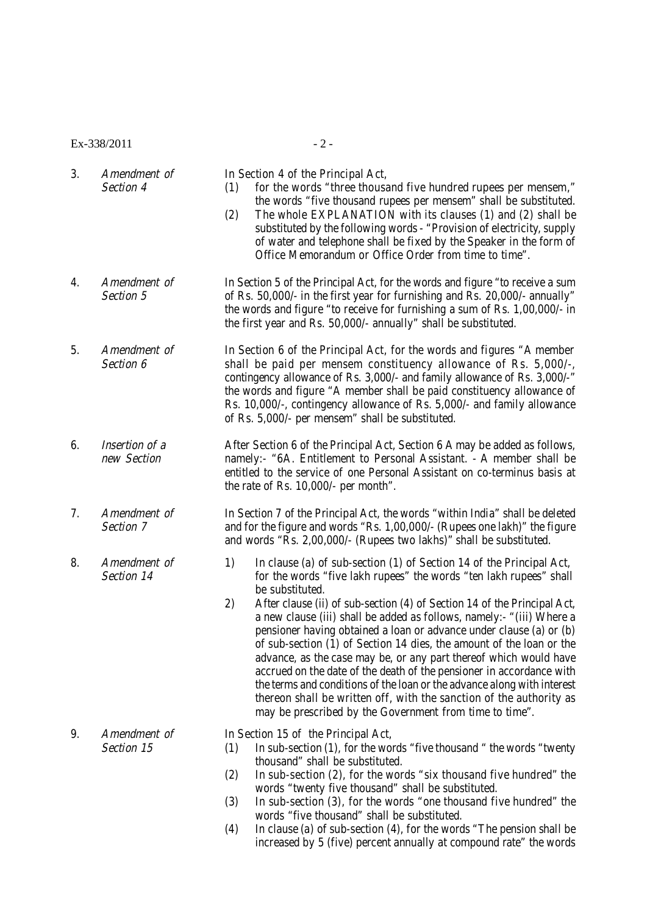$Ex-338/2011$  - 2 -

|  | Amendment of | In Section 4 of the Principal Act,                                     |  |
|--|--------------|------------------------------------------------------------------------|--|
|  | Section 4    | for the words "three thousand five hundred rupees per mensem,"         |  |
|  |              | the words "five thousand rupees per mensem" shall be substituted.      |  |
|  |              | The whole EXPLANATION with its clauses (1) and (2) shall be            |  |
|  |              | substituted by the following words - "Provision of electricity, supply |  |
|  |              | of water and telephone shall be fixed by the Speaker in the form of    |  |

- 4. Amendment of In Section 5 of the Principal Act, for the words and figure "to receive a sum Section 5 of Rs. 50,000/- in the first year for furnishing and Rs. 20,000/- annually the words and figure "to receive for furnishing a sum of Rs. 1,00,000/- in the first year and Rs. 50,000/- annually" shall be substituted.
- 5. Amendment of In Section 6 of the Principal Act, for the words and figures "A member Section 6 shall be paid per mensem constituency allowance of Rs. 5,000/-. contingency allowance of Rs. 3,000/- and family allowance of Rs. 3,000/-" the words and figure "A member shall be paid constituency allowance of Rs. 10,000/-, contingency allowance of Rs. 5,000/- and family allowance of Rs. 5,000/- per mensem" shall be substituted.
- 6. Insertion of a After Section 6 of the Principal Act, Section 6 A may be added as follows,<br>
new Section hamely:- "6A. Entitlement to Personal Assistant. A member shall be namely:- "6A. Entitlement to Personal Assistant. - A member shall be entitled to the service of one Personal Assistant on co-terminus basis at the rate of Rs. 10,000/- per month".

7. Amendment of In Section 7 of the Principal Act, the words "within India" shall be deleted Section 7 and for the figure and words "Rs. 1,00,000/- (Rupees one lakh)" the figure and words "Rs. 2,00,000/- (Rupees two lakhs)" shall be substituted.

8. Amendment of 1) In clause (a) of sub-section (1) of Section 14 of the Principal Act, Section 14 for the words "five lakh rupees" the words "ten lakh rupees" shall be substituted.

Office Memorandum or Office Order from time to time".

2) After clause (ii) of sub-section (4) of Section 14 of the Principal Act, a new clause (iii) shall be added as follows, namely:- "(iii) Where a pensioner having obtained a loan or advance under clause (a) or (b) of sub-section (1) of Section 14 dies, the amount of the loan or the advance, as the case may be, or any part thereof which would have accrued on the date of the death of the pensioner in accordance with the terms and conditions of the loan or the advance along with interest thereon shall be written off, with the sanction of the authority as may be prescribed by the Government from time to time".

9. Amendment of In Section 15 of the Principal Act,

- Section 15 (1) In sub-section (1), for the words "five thousand " the words "twenty thousand" shall be substituted.
	- (2) In sub-section (2), for the words "six thousand five hundred" the words "twenty five thousand" shall be substituted.
	- (3) In sub-section (3), for the words "one thousand five hundred" the words "five thousand" shall be substituted.
	- (4) In clause (a) of sub-section (4), for the words "The pension shall be increased by 5 (five) percent annually at compound rate" the words